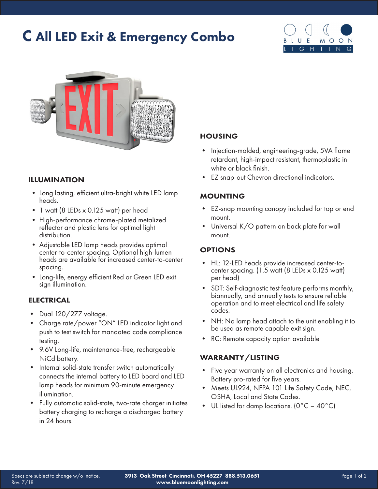# C All LED Exit & Emergency Combo





#### ILLUMINATION

- Long lasting, efficient ultra-bright white LED lamp heads.
- 1 watt (8 LEDs x 0.125 watt) per head
- High-performance chrome-plated metalized reflector and plastic lens for optimal light distribution.
- Adjustable LED lamp heads provides optimal center-to-center spacing. Optional high-lumen heads are available for increased center-to-center spacing.
- Long-life, energy efficient Red or Green LED exit sign illumination.

#### **ELECTRICAL**

- Dual 120/277 voltage.
- Charge rate/power "ON" LED indicator light and push to test switch for mandated code compliance testing.
- 9.6V Long-life, maintenance-free, rechargeable NiCd battery.
- Internal solid-state transfer switch automatically connects the internal battery to LED board and LED lamp heads for minimum 90-minute emergency illumination.
- Fully automatic solid-state, two-rate charger initiates battery charging to recharge a discharged battery in 24 hours.

#### HOUSING

- Injection-molded, engineering-grade, 5VA flame retardant, high-impact resistant, thermoplastic in white or black finish.
- EZ snap-out Chevron directional indicators.

#### MOUNTING

- EZ-snap mounting canopy included for top or end mount.
- Universal K/O pattern on back plate for wall mount.

#### **OPTIONS**

- HL: 12-LED heads provide increased center-tocenter spacing. (1.5 watt (8 LEDs x 0.125 watt) per head)
- SDT: Self-diagnostic test feature performs monthly, biannually, and annually tests to ensure reliable operation and to meet electrical and life safety codes.
- NH: No lamp head attach to the unit enabling it to be used as remote capable exit sign.
- RC: Remote capacity option available

#### WARRANTY/LISTING

- Five year warranty on all electronics and housing. Battery pro-rated for five years.
- Meets UL924, NFPA 101 Life Safety Code, NEC, OSHA, Local and State Codes.
- UL listed for damp locations. ( $0^{\circ}C 40^{\circ}C$ )